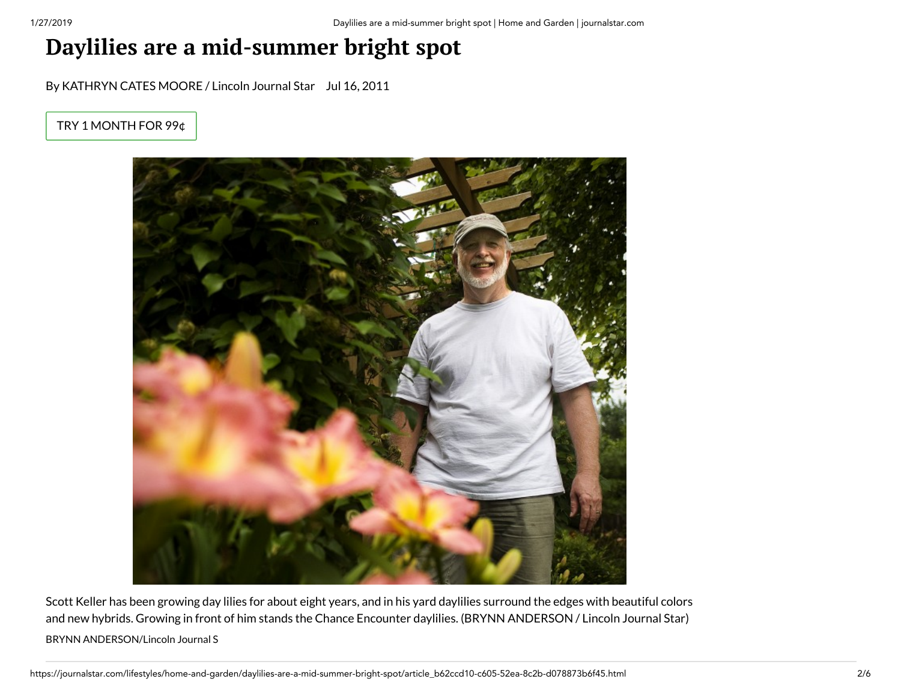## **Daylilies are a mid-summer bright spot**

By KATHRYN CATES MOORE / Lincoln Journal Star Jul 16, 2011

TRY 1 [MONTH](https://journalstar.com/subscribenow/#tracking-source=green-subscribe-button) FOR 99¢



Scott Keller has been growing day lilies for about eight years, and in his yard daylilies surround the edges with beautiful colors and new hybrids. Growing in front of him stands the Chance Encounter daylilies. (BRYNN ANDERSON / Lincoln Journal Star) BRYNN ANDERSON/Lincoln Journal S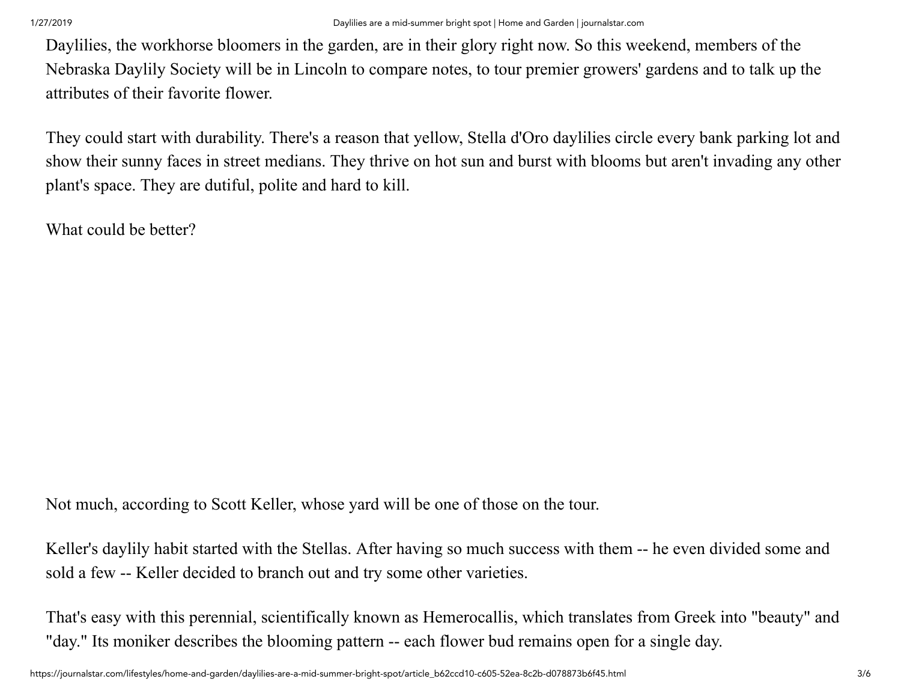Daylilies, the workhorse bloomers in the garden, are in their glory right now. So this weekend, members of the Nebraska Daylily Society will be in Lincoln to compare notes, to tour premier growers' gardens and to talk up the attributes of their favorite flower.

They could start with durability. There's a reason that yellow, Stella d'Oro daylilies circle every bank parking lot and show their sunny faces in street medians. They thrive on hot sun and burst with blooms but aren't invading any other plant's space. They are dutiful, polite and hard to kill.

What could be better?

Not much, according to Scott Keller, whose yard will be one of those on the tour.

Keller's daylily habit started with the Stellas. After having so much success with them -- he even divided some and sold a few -- Keller decided to branch out and try some other varieties.

That's easy with this perennial, scientifically known as Hemerocallis, which translates from Greek into "beauty" and "day." Its moniker describes the blooming pattern -- each flower bud remains open for a single day.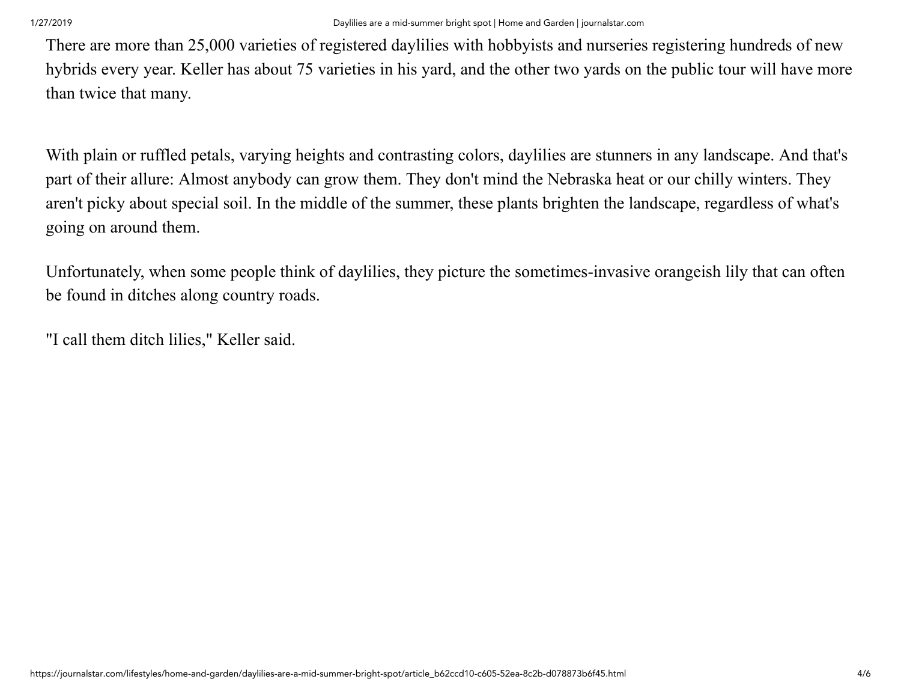There are more than 25,000 varieties of registered daylilies with hobbyists and nurseries registering hundreds of new hybrids every year. Keller has about 75 varieties in his yard, and the other two yards on the public tour will have more than twice that many.

With plain or ruffled petals, varying heights and contrasting colors, daylilies are stunners in any landscape. And that's part of their allure: Almost anybody can grow them. They don't mind the Nebraska heat or our chilly winters. They aren't picky about special soil. In the middle of the summer, these plants brighten the landscape, regardless of what's going on around them.

Unfortunately, when some people think of daylilies, they picture the sometimes-invasive orangeish lily that can often be found in ditches along country roads.

"I call them ditch lilies," Keller said.